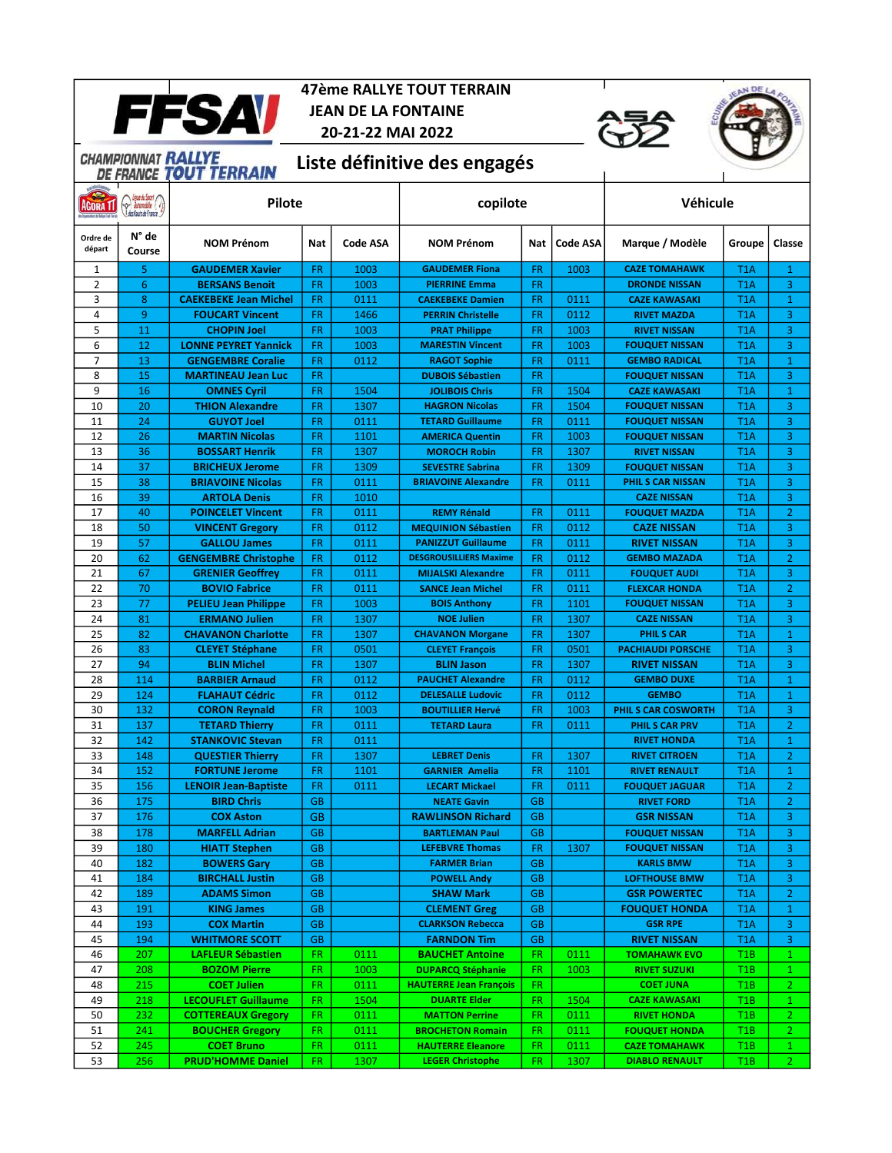

## 47ème RALLYE TOUT TERRAIN JEAN DE LA FONTAINE 20-21-22 MAI 2022





## CHAMPIONNAT RALLYE<br>DE FRANCE TOUT TERRAIN Liste définitive des engagés

| AGORA TI           | June du Spart Co<br>Pilote<br>o datamabile i /<br>desiliauts de France. |                              |           | copilote        |                               |           | Véhicule        |                            |                  |                      |
|--------------------|-------------------------------------------------------------------------|------------------------------|-----------|-----------------|-------------------------------|-----------|-----------------|----------------------------|------------------|----------------------|
| Ordre de<br>départ | N° de<br>Course                                                         | <b>NOM Prénom</b>            | Nat       | <b>Code ASA</b> | <b>NOM Prénom</b>             | Nat       | <b>Code ASA</b> | Marque / Modèle            | Groupe           | Classe               |
| 1                  | 5                                                                       | <b>GAUDEMER Xavier</b>       | <b>FR</b> | 1003            | <b>GAUDEMER Fiona</b>         | <b>FR</b> | 1003            | <b>CAZE TOMAHAWK</b>       | T1A              | $\mathbf{1}$         |
| 2                  | 6                                                                       | <b>BERSANS Benoit</b>        | <b>FR</b> | 1003            | <b>PIERRINE Emma</b>          | FR.       |                 | <b>DRONDE NISSAN</b>       | T <sub>1</sub> A | 3                    |
| 3                  | 8                                                                       | <b>CAEKEBEKE Jean Michel</b> | <b>FR</b> | 0111            | <b>CAEKEBEKE Damien</b>       | <b>FR</b> | 0111            | <b>CAZE KAWASAKI</b>       | T <sub>1</sub> A | $\mathbf{1}$         |
| 4                  | 9                                                                       | <b>FOUCART Vincent</b>       | <b>FR</b> | 1466            | <b>PERRIN Christelle</b>      | FR.       | 0112            | <b>RIVET MAZDA</b>         | T <sub>1</sub> A | 3                    |
| 5                  | 11                                                                      | <b>CHOPIN Joel</b>           | <b>FR</b> | 1003            | <b>PRAT Philippe</b>          | <b>FR</b> | 1003            | <b>RIVET NISSAN</b>        | T <sub>1</sub> A | 3                    |
| 6                  | 12                                                                      | <b>LONNE PEYRET Yannick</b>  | <b>FR</b> | 1003            | <b>MARESTIN Vincent</b>       | <b>FR</b> | 1003            | <b>FOUQUET NISSAN</b>      | T <sub>1</sub> A | 3                    |
| 7                  | 13                                                                      | <b>GENGEMBRE Coralie</b>     | <b>FR</b> | 0112            | <b>RAGOT Sophie</b>           | <b>FR</b> | 0111            | <b>GEMBO RADICAL</b>       | T <sub>1</sub> A | $\mathbf{1}$         |
| 8                  | 15                                                                      | <b>MARTINEAU Jean Luc</b>    | <b>FR</b> |                 | <b>DUBOIS Sébastien</b>       | FR.       |                 | <b>FOUQUET NISSAN</b>      | T <sub>1</sub> A | 3                    |
| 9                  | 16                                                                      | <b>OMNES Cyril</b>           | <b>FR</b> | 1504            | <b>JOLIBOIS Chris</b>         | <b>FR</b> | 1504            | <b>CAZE KAWASAKI</b>       | T <sub>1</sub> A | $\mathbf{1}$         |
| 10                 | 20                                                                      | <b>THION Alexandre</b>       | <b>FR</b> | 1307            | <b>HAGRON Nicolas</b>         | <b>FR</b> | 1504            | <b>FOUQUET NISSAN</b>      | T <sub>1</sub> A | 3                    |
| 11                 | 24                                                                      | <b>GUYOT Joel</b>            | <b>FR</b> | 0111            | <b>TETARD Guillaume</b>       | <b>FR</b> | 0111            | <b>FOUQUET NISSAN</b>      | T <sub>1</sub> A | 3                    |
| 12                 | 26                                                                      | <b>MARTIN Nicolas</b>        | <b>FR</b> | 1101            | <b>AMERICA Quentin</b>        | FR.       | 1003            | <b>FOUQUET NISSAN</b>      | T <sub>1</sub> A | 3                    |
| 13                 | 36                                                                      | <b>BOSSART Henrik</b>        | <b>FR</b> | 1307            | <b>MOROCH Robin</b>           | FR        | 1307            | <b>RIVET NISSAN</b>        | T <sub>1</sub> A | 3                    |
| 14                 | 37                                                                      | <b>BRICHEUX Jerome</b>       | <b>FR</b> | 1309            | <b>SEVESTRE Sabrina</b>       | <b>FR</b> | 1309            | <b>FOUQUET NISSAN</b>      | T1A              | 3                    |
| 15                 | 38                                                                      | <b>BRIAVOINE Nicolas</b>     | <b>FR</b> | 0111            | <b>BRIAVOINE Alexandre</b>    | FR.       | 0111            | <b>PHIL S CAR NISSAN</b>   | T1A              | 3                    |
| 16                 | 39                                                                      | <b>ARTOLA Denis</b>          | <b>FR</b> | 1010            |                               |           |                 | <b>CAZE NISSAN</b>         | T1A              | 3                    |
| 17                 | 40                                                                      | <b>POINCELET Vincent</b>     | <b>FR</b> | 0111            | <b>REMY Rénald</b>            | FR.       | 0111            | <b>FOUQUET MAZDA</b>       | T1A              | $\overline{2}$       |
| 18                 | 50                                                                      | <b>VINCENT Gregory</b>       | <b>FR</b> | 0112            | <b>MEQUINION Sébastien</b>    | FR        | 0112            | <b>CAZE NISSAN</b>         | T1A              | 3                    |
| 19                 | 57                                                                      | <b>GALLOU James</b>          | <b>FR</b> | 0111            | <b>PANIZZUT Guillaume</b>     | FR.       | 0111            | <b>RIVET NISSAN</b>        | T1A              | 3                    |
| 20                 | 62                                                                      | <b>GENGEMBRE Christophe</b>  | <b>FR</b> | 0112            | <b>DESGROUSILLIERS Maxime</b> | <b>FR</b> | 0112            | <b>GEMBO MAZADA</b>        | T <sub>1</sub> A | $\overline{2}$       |
| 21                 | 67                                                                      | <b>GRENIER Geoffrey</b>      | <b>FR</b> | 0111            | <b>MIJALSKI Alexandre</b>     | FR.       | 0111            | <b>FOUQUET AUDI</b>        | T <sub>1</sub> A | 3                    |
| 22                 | 70                                                                      | <b>BOVIO Fabrice</b>         | <b>FR</b> | 0111            | <b>SANCE Jean Michel</b>      | <b>FR</b> | 0111            | <b>FLEXCAR HONDA</b>       | T1A              | 2                    |
| 23                 | 77                                                                      | <b>PELIEU Jean Philippe</b>  | <b>FR</b> | 1003            | <b>BOIS Anthony</b>           | <b>FR</b> | 1101            | <b>FOUQUET NISSAN</b>      | T <sub>1</sub> A | 3                    |
| 24                 | 81                                                                      | <b>ERMANO Julien</b>         | <b>FR</b> | 1307            | <b>NOE Julien</b>             | <b>FR</b> | 1307            | <b>CAZE NISSAN</b>         | T <sub>1</sub> A | 3                    |
| 25                 | 82                                                                      | <b>CHAVANON Charlotte</b>    | <b>FR</b> | 1307            | <b>CHAVANON Morgane</b>       | <b>FR</b> | 1307            | <b>PHILS CAR</b>           | T <sub>1</sub> A | $\mathbf{1}$         |
| 26                 | 83                                                                      | <b>CLEYET Stéphane</b>       | <b>FR</b> | 0501            | <b>CLEYET François</b>        | <b>FR</b> | 0501            | <b>PACHIAUDI PORSCHE</b>   | T <sub>1</sub> A | 3                    |
| 27                 | 94                                                                      | <b>BLIN Michel</b>           | <b>FR</b> | 1307            | <b>BLIN Jason</b>             | FR.       | 1307            | <b>RIVET NISSAN</b>        | T <sub>1</sub> A | 3                    |
| 28                 | 114                                                                     | <b>BARBIER Arnaud</b>        | <b>FR</b> | 0112            | <b>PAUCHET Alexandre</b>      | <b>FR</b> | 0112            | <b>GEMBO DUXE</b>          | T <sub>1</sub> A | $\mathbf{1}$         |
| 29                 | 124                                                                     | <b>FLAHAUT Cédric</b>        | <b>FR</b> | 0112            | <b>DELESALLE Ludovic</b>      | FR.       | 0112            | <b>GEMBO</b>               | T <sub>1</sub> A | $\mathbf{1}$         |
| 30                 | 132                                                                     | <b>CORON Reynald</b>         | <b>FR</b> | 1003            | <b>BOUTILLIER Hervé</b>       | <b>FR</b> | 1003            | <b>PHIL S CAR COSWORTH</b> | T <sub>1</sub> A | 3                    |
| 31                 | 137                                                                     | <b>TETARD Thierry</b>        | <b>FR</b> | 0111            | <b>TETARD Laura</b>           | <b>FR</b> | 0111            | <b>PHIL S CAR PRV</b>      | T <sub>1</sub> A | 2                    |
| 32                 | 142                                                                     | <b>STANKOVIC Stevan</b>      | <b>FR</b> | 0111            |                               |           |                 | <b>RIVET HONDA</b>         | T <sub>1</sub> A | $\mathbf{1}$         |
| 33                 | 148                                                                     | <b>QUESTIER Thierry</b>      | <b>FR</b> | 1307            | <b>LEBRET Denis</b>           | <b>FR</b> | 1307            | <b>RIVET CITROEN</b>       | T <sub>1</sub> A | 2                    |
| 34                 | 152                                                                     | <b>FORTUNE Jerome</b>        | <b>FR</b> | 1101            | <b>GARNIER Amelia</b>         | <b>FR</b> | 1101            | <b>RIVET RENAULT</b>       | T <sub>1</sub> A | $\mathbf{1}$         |
| 35                 | 156                                                                     | <b>LENOIR Jean-Baptiste</b>  | <b>FR</b> | 0111            | <b>LECART Mickael</b>         | FR.       | 0111            | <b>FOUQUET JAGUAR</b>      | T <sub>1</sub> A | 2                    |
| 36                 | 175                                                                     | <b>BIRD Chris</b>            | <b>GB</b> |                 | <b>NEATE Gavin</b>            | <b>GB</b> |                 | <b>RIVET FORD</b>          | T <sub>1</sub> A | $\overline{2}$       |
| 37                 | 176                                                                     | <b>COX Aston</b>             | GB        |                 | <b>RAWLINSON Richard</b>      | <b>GB</b> |                 | <b>GSR NISSAN</b>          | T <sub>1</sub> A | 3                    |
| 38                 | 178                                                                     | <b>MARFELL Adrian</b>        | <b>GB</b> |                 | <b>BARTLEMAN Paul</b>         | <b>GB</b> |                 | <b>FOUQUET NISSAN</b>      | T1A              | 3                    |
| 39                 | 180                                                                     | HIATT Stephen                | <b>GB</b> |                 | <b>LEFEBVRE Thomas</b>        | FR        | 1307            | <b>FOUQUET NISSAN</b>      | T <sub>1</sub> A | 3                    |
| 40                 | 182                                                                     | <b>BOWERS Gary</b>           | <b>GB</b> |                 | <b>FARMER Brian</b>           | <b>GB</b> |                 | <b>KARLS BMW</b>           | T <sub>1</sub> A | 3                    |
| 41                 | 184                                                                     | <b>BIRCHALL Justin</b>       | <b>GB</b> |                 | <b>POWELL Andy</b>            | <b>GB</b> |                 | <b>LOFTHOUSE BMW</b>       | T <sub>1</sub> A | 3                    |
| 42                 | 189                                                                     | <b>ADAMS Simon</b>           | GB        |                 | <b>SHAW Mark</b>              | <b>GB</b> |                 | <b>GSR POWERTEC</b>        | T <sub>1</sub> A | $\mathbf{2}$         |
| 43                 | 191                                                                     | <b>KING James</b>            | GB        |                 | <b>CLEMENT Greg</b>           | <b>GB</b> |                 | <b>FOUQUET HONDA</b>       | T <sub>1</sub> A | $\mathbf{1}$         |
| 44                 | 193                                                                     | <b>COX Martin</b>            | <b>GB</b> |                 | <b>CLARKSON Rebecca</b>       | <b>GB</b> |                 | <b>GSR RPE</b>             | T <sub>1</sub> A | 3                    |
| 45                 | 194                                                                     | <b>WHITMORE SCOTT</b>        | <b>GB</b> |                 | <b>FARNDON Tim</b>            | <b>GB</b> |                 | <b>RIVET NISSAN</b>        | T <sub>1</sub> A | 3                    |
| 46                 | 207                                                                     | <b>LAFLEUR Sébastien</b>     | FR.       | 0111            | <b>BAUCHET Antoine</b>        | FR.       | 0111            | <b>TOMAHAWK EVO</b>        | T <sub>1</sub> B | $\mathbf{1}$         |
| 47                 | 208                                                                     | <b>BOZOM Pierre</b>          | FR.       | 1003            | <b>DUPARCQ Stéphanie</b>      | FR.       | 1003            | <b>RIVET SUZUKI</b>        | T <sub>1</sub> B | $\mathbf{1}$         |
| 48                 | 215                                                                     | <b>COET Julien</b>           | FR.       | 0111            | <b>HAUTERRE Jean François</b> | FR.       |                 | <b>COET JUNA</b>           | T1B              | 2 <sup>1</sup>       |
| 49                 | 218                                                                     | <b>LECOUFLET Guillaume</b>   | FR.       | 1504            | <b>DUARTE Elder</b>           | FR.       | 1504            | <b>CAZE KAWASAKI</b>       | T <sub>1</sub> B | $\mathbf{1}$         |
| 50                 | 232                                                                     | <b>COTTEREAUX Gregory</b>    | FR.       | 0111            | <b>MATTON Perrine</b>         | FR        | 0111            | <b>RIVET HONDA</b>         | T1B              | $\mathbf{2}$         |
| 51                 | 241                                                                     | <b>BOUCHER Gregory</b>       | FR.       | 0111            | <b>BROCHETON Romain</b>       | FR.       | 0111            | <b>FOUQUET HONDA</b>       | T <sub>1</sub> B | $\mathbf{2}^{\circ}$ |
| 52                 | 245                                                                     | <b>COET Bruno</b>            | FR.       | 0111            | <b>HAUTERRE Eleanore</b>      | FR        | 0111            | <b>CAZE TOMAHAWK</b>       | T1B              | $\mathbf{1}$         |
| 53                 | 256                                                                     | <b>PRUD'HOMME Daniel</b>     | FR.       | 1307            | <b>LEGER Christophe</b>       | FR        | 1307            | <b>DIABLO RENAULT</b>      | T <sub>1</sub> B | $\mathbf{2}$         |
|                    |                                                                         |                              |           |                 |                               |           |                 |                            |                  |                      |